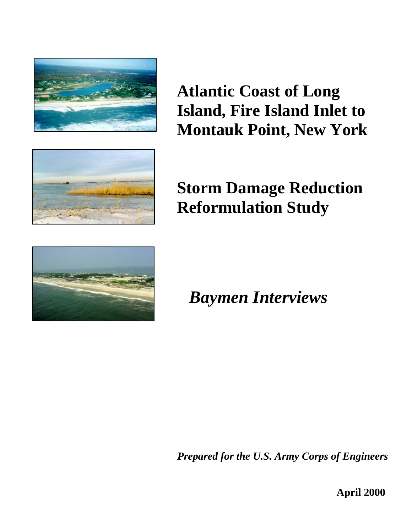

**Atlantic Coast of Long Island, Fire Island Inlet to Montauk Point, New York**



**Storm Damage Reduction Reformulation Study**



*Baymen Interviews* 

*Prepared for the U.S. Army Corps of Engineers*

**April 2000**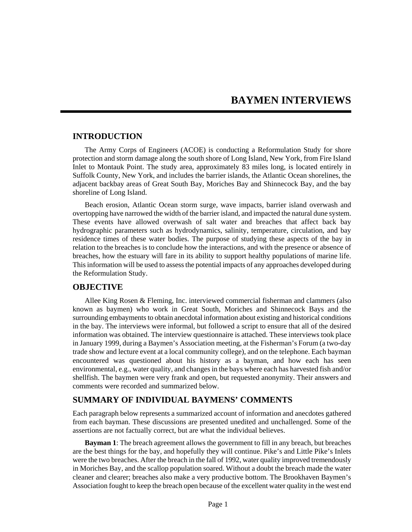# **BAYMEN INTERVIEWS**

## **INTRODUCTION**

The Army Corps of Engineers (ACOE) is conducting a Reformulation Study for shore protection and storm damage along the south shore of Long Island, New York, from Fire Island Inlet to Montauk Point. The study area, approximately 83 miles long, is located entirely in Suffolk County, New York, and includes the barrier islands, the Atlantic Ocean shorelines, the adjacent backbay areas of Great South Bay, Moriches Bay and Shinnecock Bay, and the bay shoreline of Long Island.

Beach erosion, Atlantic Ocean storm surge, wave impacts, barrier island overwash and overtopping have narrowed the width of the barrier island, and impacted the natural dune system. These events have allowed overwash of salt water and breaches that affect back bay hydrographic parameters such as hydrodynamics, salinity, temperature, circulation, and bay residence times of these water bodies. The purpose of studying these aspects of the bay in relation to the breaches is to conclude how the interactions, and with the presence or absence of breaches, how the estuary will fare in its ability to support healthy populations of marine life. This information will be used to assess the potential impacts of any approaches developed during the Reformulation Study.

#### **OBJECTIVE**

Allee King Rosen & Fleming, Inc. interviewed commercial fisherman and clammers (also known as baymen) who work in Great South, Moriches and Shinnecock Bays and the surrounding embayments to obtain anecdotal information about existing and historical conditions in the bay. The interviews were informal, but followed a script to ensure that all of the desired information was obtained. The interview questionnaire is attached. These interviews took place in January 1999, during a Baymen's Association meeting, at the Fisherman's Forum (a two-day trade show and lecture event at a local community college), and on the telephone. Each bayman encountered was questioned about his history as a bayman, and how each has seen environmental, e.g., water quality, and changes in the bays where each has harvested fish and/or shellfish. The baymen were very frank and open, but requested anonymity. Their answers and comments were recorded and summarized below.

### **SUMMARY OF INDIVIDUAL BAYMENS' COMMENTS**

Each paragraph below represents a summarized account of information and anecdotes gathered from each bayman. These discussions are presented unedited and unchallenged. Some of the assertions are not factually correct, but are what the individual believes.

**Bayman 1**: The breach agreement allows the government to fill in any breach, but breaches are the best things for the bay, and hopefully they will continue. Pike's and Little Pike's Inlets were the two breaches. After the breach in the fall of 1992, water quality improved tremendously in Moriches Bay, and the scallop population soared. Without a doubt the breach made the water cleaner and clearer; breaches also make a very productive bottom. The Brookhaven Baymen's Association fought to keep the breach open because of the excellent water quality in the west end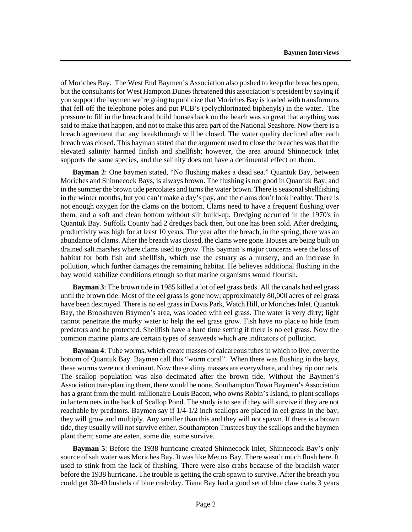of Moriches Bay. The West End Baymen's Association also pushed to keep the breaches open, but the consultants for West Hampton Dunes threatened this association's president by saying if you support the baymen we're going to publicize that Moriches Bay is loaded with transformers that fell off the telephone poles and put PCB's (polychlorinated biphenyls) in the water. The pressure to fill in the breach and build houses back on the beach was so great that anything was said to make that happen, and not to make this area part of the National Seashore. Now there is a breach agreement that any breakthrough will be closed. The water quality declined after each breach was closed. This bayman stated that the argument used to close the breaches was that the elevated salinity harmed finfish and shellfish; however, the area around Shinnecock Inlet supports the same species, and the salinity does not have a detrimental effect on them.

**Bayman 2**: One baymen stated, "No flushing makes a dead sea." Quantuk Bay, between Moriches and Shinnecock Bays, is always brown. The flushing is not good in Quantuk Bay, and in the summer the brown tide percolates and turns the water brown. There is seasonal shellfishing in the winter months, but you can't make a day's pay, and the clams don't look healthy. There is not enough oxygen for the clams on the bottom. Clams need to have a frequent flushing over them, and a soft and clean bottom without silt build-up. Dredging occurred in the 1970's in Quantuk Bay. Suffolk County had 2 dredges back then, but one has been sold. After dredging, productivity was high for at least 10 years. The year after the breach, in the spring, there was an abundance of clams. After the breach was closed, the clams were gone. Houses are being built on drained salt marshes where clams used to grow. This bayman's major concerns were the loss of habitat for both fish and shellfish, which use the estuary as a nursery, and an increase in pollution, which further damages the remaining habitat. He believes additional flushing in the bay would stabilize conditions enough so that marine organisms would flourish.

**Bayman 3**: The brown tide in 1985 killed a lot of eel grass beds. All the canals had eel grass until the brown tide. Most of the eel grass is gone now; approximately 80,000 acres of eel grass have been destroyed. There is no eel grass in Davis Park, Watch Hill, or Moriches Inlet. Quantuk Bay, the Brookhaven Baymen's area, was loaded with eel grass. The water is very dirty; light cannot penetrate the murky water to help the eel grass grow. Fish have no place to hide from predators and be protected. Shellfish have a hard time setting if there is no eel grass. Now the common marine plants are certain types of seaweeds which are indicators of pollution.

**Bayman 4**: Tube worms, which create masses of calcareous tubes in which to live, cover the bottom of Quantuk Bay. Baymen call this "worm coral". When there was flushing in the bays, these worms were not dominant. Now these slimy masses are everywhere, and they rip our nets. The scallop population was also decimated after the brown tide. Without the Baymen's Association transplanting them, there would be none. Southampton Town Baymen's Association has a grant from the multi-millionaire Louis Bacon, who owns Robin's Island, to plant scallops in lantern nets in the back of Scallop Pond. The study is to see if they will survive if they are not reachable by predators. Baymen say if 1/4-1/2 inch scallops are placed in eel grass in the bay, they will grow and multiply. Any smaller than this and they will not spawn. If there is a brown tide, they usually will not survive either. Southampton Trustees buy the scallops and the baymen plant them; some are eaten, some die, some survive.

**Bayman 5**: Before the 1938 hurricane created Shinnecock Inlet, Shinnecock Bay's only source of salt water was Moriches Bay. It was like Mecox Bay. There wasn't much flush here. It used to stink from the lack of flushing. There were also crabs because of the brackish water before the 1938 hurricane. The trouble is getting the crab spawn to survive. After the breach you could get 30-40 bushels of blue crab/day. Tiana Bay had a good set of blue claw crabs 3 years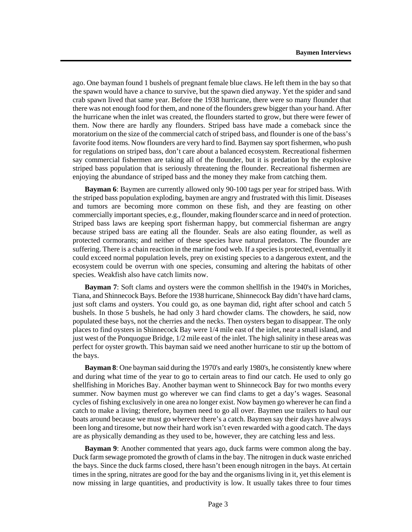ago. One bayman found 1 bushels of pregnant female blue claws. He left them in the bay so that the spawn would have a chance to survive, but the spawn died anyway. Yet the spider and sand crab spawn lived that same year. Before the 1938 hurricane, there were so many flounder that there was not enough food for them, and none of the flounders grew bigger than your hand. After the hurricane when the inlet was created, the flounders started to grow, but there were fewer of them. Now there are hardly any flounders. Striped bass have made a comeback since the moratorium on the size of the commercial catch of striped bass, and flounder is one of the bass's favorite food items. Now flounders are very hard to find. Baymen say sport fishermen, who push for regulations on striped bass, don't care about a balanced ecosystem. Recreational fishermen say commercial fishermen are taking all of the flounder, but it is predation by the explosive striped bass population that is seriously threatening the flounder. Recreational fishermen are enjoying the abundance of striped bass and the money they make from catching them.

**Bayman 6**: Baymen are currently allowed only 90-100 tags per year for striped bass. With the striped bass population exploding, baymen are angry and frustrated with this limit. Diseases and tumors are becoming more common on these fish, and they are feasting on other commercially important species, e.g., flounder, making flounder scarce and in need of protection. Striped bass laws are keeping sport fisherman happy, but commercial fisherman are angry because striped bass are eating all the flounder. Seals are also eating flounder, as well as protected cormorants; and neither of these species have natural predators. The flounder are suffering. There is a chain reaction in the marine food web. If a species is protected, eventually it could exceed normal population levels, prey on existing species to a dangerous extent, and the ecosystem could be overrun with one species, consuming and altering the habitats of other species. Weakfish also have catch limits now.

**Bayman 7**: Soft clams and oysters were the common shellfish in the 1940's in Moriches, Tiana, and Shinnecock Bays. Before the 1938 hurricane, Shinnecock Bay didn't have hard clams, just soft clams and oysters. You could go, as one bayman did, right after school and catch 5 bushels. In those 5 bushels, he had only 3 hard chowder clams. The chowders, he said, now populated these bays, not the cherries and the necks. Then oysters began to disappear. The only places to find oysters in Shinnecock Bay were 1/4 mile east of the inlet, near a small island, and just west of the Ponquogue Bridge, 1/2 mile east of the inlet. The high salinity in these areas was perfect for oyster growth. This bayman said we need another hurricane to stir up the bottom of the bays.

**Bayman 8**: One bayman said during the 1970's and early 1980's, he consistently knew where and during what time of the year to go to certain areas to find our catch. He used to only go shellfishing in Moriches Bay. Another bayman went to Shinnecock Bay for two months every summer. Now baymen must go wherever we can find clams to get a day's wages. Seasonal cycles of fishing exclusively in one area no longer exist. Now baymen go wherever he can find a catch to make a living; therefore, baymen need to go all over. Baymen use trailers to haul our boats around because we must go wherever there's a catch. Baymen say their days have always been long and tiresome, but now their hard work isn't even rewarded with a good catch. The days are as physically demanding as they used to be, however, they are catching less and less.

**Bayman 9**: Another commented that years ago, duck farms were common along the bay. Duck farm sewage promoted the growth of clams in the bay. The nitrogen in duck waste enriched the bays. Since the duck farms closed, there hasn't been enough nitrogen in the bays. At certain times in the spring, nitrates are good for the bay and the organisms living in it, yet this element is now missing in large quantities, and productivity is low. It usually takes three to four times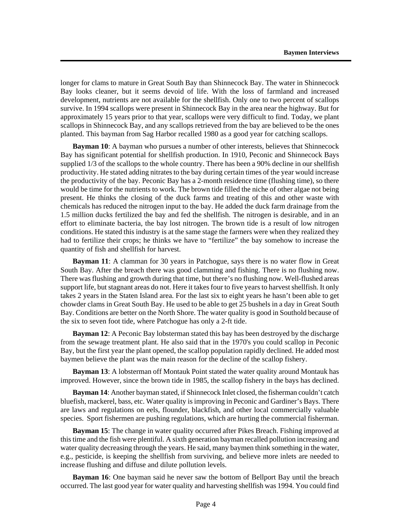longer for clams to mature in Great South Bay than Shinnecock Bay. The water in Shinnecock Bay looks cleaner, but it seems devoid of life. With the loss of farmland and increased development, nutrients are not available for the shellfish. Only one to two percent of scallops survive. In 1994 scallops were present in Shinnecock Bay in the area near the highway. But for approximately 15 years prior to that year, scallops were very difficult to find. Today, we plant scallops in Shinnecock Bay, and any scallops retrieved from the bay are believed to be the ones planted. This bayman from Sag Harbor recalled 1980 as a good year for catching scallops.

**Bayman 10**: A bayman who pursues a number of other interests, believes that Shinnecock Bay has significant potential for shellfish production. In 1910, Peconic and Shinnecock Bays supplied 1/3 of the scallops to the whole country. There has been a 90% decline in our shellfish productivity. He stated adding nitrates to the bay during certain times of the year would increase the productivity of the bay. Peconic Bay has a 2-month residence time (flushing time), so there would be time for the nutrients to work. The brown tide filled the niche of other algae not being present. He thinks the closing of the duck farms and treating of this and other waste with chemicals has reduced the nitrogen input to the bay. He added the duck farm drainage from the 1.5 million ducks fertilized the bay and fed the shellfish. The nitrogen is desirable, and in an effort to eliminate bacteria, the bay lost nitrogen. The brown tide is a result of low nitrogen conditions. He stated this industry is at the same stage the farmers were when they realized they had to fertilize their crops; he thinks we have to "fertilize" the bay somehow to increase the quantity of fish and shellfish for harvest.

**Bayman 11**: A clamman for 30 years in Patchogue, says there is no water flow in Great South Bay. After the breach there was good clamming and fishing. There is no flushing now. There was flushing and growth during that time, but there's no flushing now. Well-flushed areas support life, but stagnant areas do not. Here it takes four to five years to harvest shellfish. It only takes 2 years in the Staten Island area. For the last six to eight years he hasn't been able to get chowder clams in Great South Bay. He used to be able to get 25 bushels in a day in Great South Bay. Conditions are better on the North Shore. The water quality is good in Southold because of the six to seven foot tide, where Patchogue has only a 2-ft tide.

**Bayman 12**: A Peconic Bay lobsterman stated this bay has been destroyed by the discharge from the sewage treatment plant. He also said that in the 1970's you could scallop in Peconic Bay, but the first year the plant opened, the scallop population rapidly declined. He added most baymen believe the plant was the main reason for the decline of the scallop fishery.

**Bayman 13**: A lobsterman off Montauk Point stated the water quality around Montauk has improved. However, since the brown tide in 1985, the scallop fishery in the bays has declined.

**Bayman 14**: Another bayman stated, if Shinnecock Inlet closed, the fisherman couldn't catch bluefish, mackerel, bass, etc. Water quality is improving in Peconic and Gardiner's Bays. There are laws and regulations on eels, flounder, blackfish, and other local commercially valuable species. Sport fishermen are pushing regulations, which are hurting the commercial fisherman.

**Bayman 15**: The change in water quality occurred after Pikes Breach. Fishing improved at this time and the fish were plentiful. A sixth generation bayman recalled pollution increasing and water quality decreasing through the years. He said, many baymen think something in the water, e.g., pesticide, is keeping the shellfish from surviving, and believe more inlets are needed to increase flushing and diffuse and dilute pollution levels.

**Bayman 16**: One bayman said he never saw the bottom of Bellport Bay until the breach occurred. The last good year for water quality and harvesting shellfish was 1994. You could find